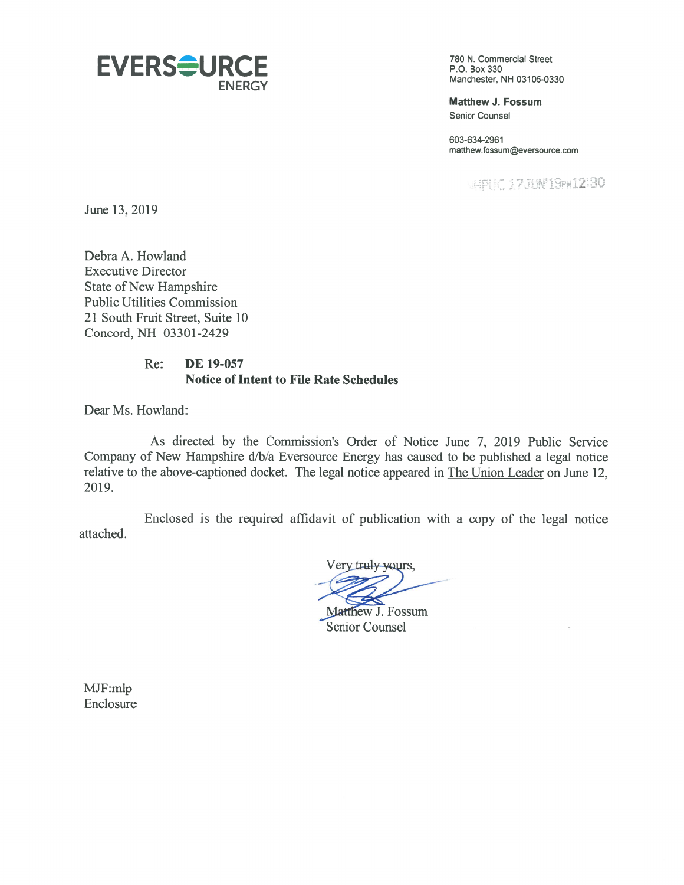

ENERGY Manchester, NH 03105-0330

Matthew J. Fossum Senior Counsel

603-634-2961 matthew.fossum@eversource.com

 $\mathcal{D} \cap \mathcal{D} \cap \mathcal{I} \subset \mathcal{I}$ 

June 13, 2019

Debra A. Howland Executive Director State of New Hampshire Public Utilities Commission 21 South Fruit Street, Suite 10 Concord, NH 03301-2429

## Re: DE 19-057 Notice of Intent to File Rate Schedules

Dear Ms. Howland:

As directed by the Commission's Order of Notice June 7, 2019 Public Service Company of New Hampshire d/b/a Eversource Energy has caused to be published a legal notice relative to the above-captioned docket. The legal notice appeared in The Union Leader on June 12, 2019.

Enclosed is the required affidavit of publication with <sup>a</sup> copy of the legal notice attached.

Very truly yours,

-Matthew J. Fossum

Senior Counsel

MJF:mlp Enclosure